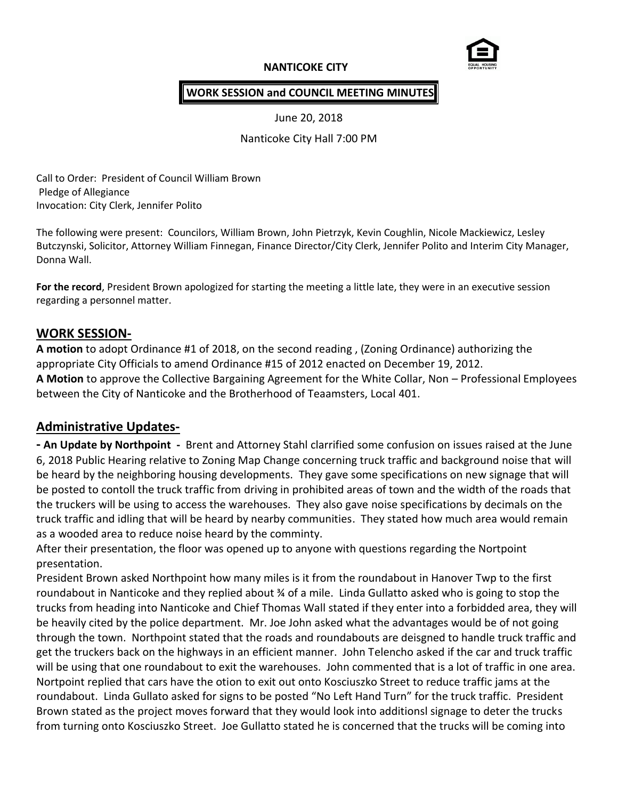# **NANTICOKE CITY**



## **WORK SESSION and COUNCIL MEETING MINUTES**

June 20, 2018

Nanticoke City Hall 7:00 PM

Call to Order: President of Council William Brown Pledge of Allegiance Invocation: City Clerk, Jennifer Polito

The following were present: Councilors, William Brown, John Pietrzyk, Kevin Coughlin, Nicole Mackiewicz, Lesley Butczynski, Solicitor, Attorney William Finnegan, Finance Director/City Clerk, Jennifer Polito and Interim City Manager, Donna Wall.

**For the record**, President Brown apologized for starting the meeting a little late, they were in an executive session regarding a personnel matter.

# **WORK SESSION-**

**A motion** to adopt Ordinance #1 of 2018, on the second reading , (Zoning Ordinance) authorizing the appropriate City Officials to amend Ordinance #15 of 2012 enacted on December 19, 2012. **A Motion** to approve the Collective Bargaining Agreement for the White Collar, Non – Professional Employees between the City of Nanticoke and the Brotherhood of Teaamsters, Local 401.

# **Administrative Updates-**

**- An Update by Northpoint -** Brent and Attorney Stahl clarrified some confusion on issues raised at the June 6, 2018 Public Hearing relative to Zoning Map Change concerning truck traffic and background noise that will be heard by the neighboring housing developments. They gave some specifications on new signage that will be posted to contoll the truck traffic from driving in prohibited areas of town and the width of the roads that the truckers will be using to access the warehouses. They also gave noise specifications by decimals on the truck traffic and idling that will be heard by nearby communities. They stated how much area would remain as a wooded area to reduce noise heard by the comminty.

After their presentation, the floor was opened up to anyone with questions regarding the Nortpoint presentation.

President Brown asked Northpoint how many miles is it from the roundabout in Hanover Twp to the first roundabout in Nanticoke and they replied about ¾ of a mile. Linda Gullatto asked who is going to stop the trucks from heading into Nanticoke and Chief Thomas Wall stated if they enter into a forbidded area, they will be heavily cited by the police department. Mr. Joe John asked what the advantages would be of not going through the town. Northpoint stated that the roads and roundabouts are deisgned to handle truck traffic and get the truckers back on the highways in an efficient manner. John Telencho asked if the car and truck traffic will be using that one roundabout to exit the warehouses. John commented that is a lot of traffic in one area. Nortpoint replied that cars have the otion to exit out onto Kosciuszko Street to reduce traffic jams at the roundabout. Linda Gullato asked for signs to be posted "No Left Hand Turn" for the truck traffic. President Brown stated as the project moves forward that they would look into additionsl signage to deter the trucks from turning onto Kosciuszko Street. Joe Gullatto stated he is concerned that the trucks will be coming into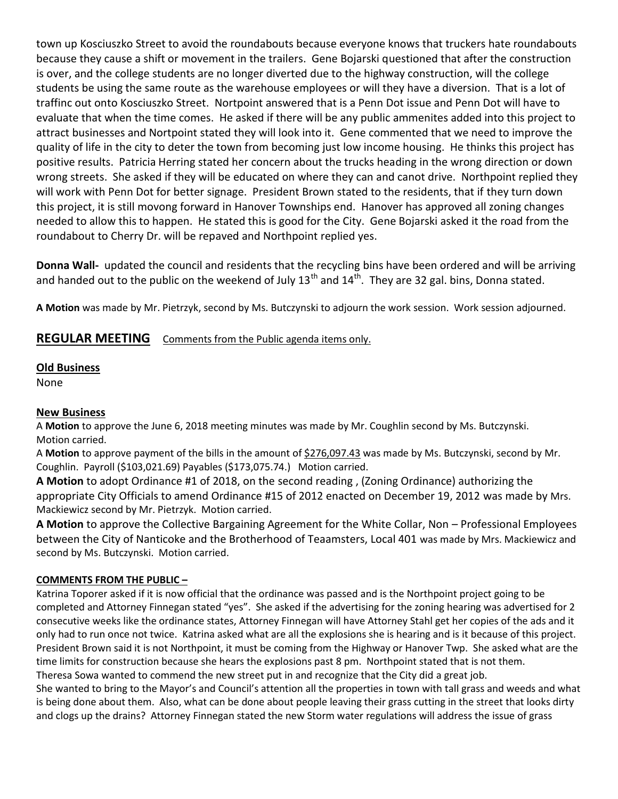town up Kosciuszko Street to avoid the roundabouts because everyone knows that truckers hate roundabouts because they cause a shift or movement in the trailers. Gene Bojarski questioned that after the construction is over, and the college students are no longer diverted due to the highway construction, will the college students be using the same route as the warehouse employees or will they have a diversion. That is a lot of traffinc out onto Kosciuszko Street. Nortpoint answered that is a Penn Dot issue and Penn Dot will have to evaluate that when the time comes. He asked if there will be any public ammenites added into this project to attract businesses and Nortpoint stated they will look into it. Gene commented that we need to improve the quality of life in the city to deter the town from becoming just low income housing. He thinks this project has positive results. Patricia Herring stated her concern about the trucks heading in the wrong direction or down wrong streets. She asked if they will be educated on where they can and canot drive. Northpoint replied they will work with Penn Dot for better signage. President Brown stated to the residents, that if they turn down this project, it is still movong forward in Hanover Townships end. Hanover has approved all zoning changes needed to allow this to happen. He stated this is good for the City. Gene Bojarski asked it the road from the roundabout to Cherry Dr. will be repaved and Northpoint replied yes.

**Donna Wall-** updated the council and residents that the recycling bins have been ordered and will be arriving and handed out to the public on the weekend of July 13<sup>th</sup> and 14<sup>th</sup>. They are 32 gal. bins, Donna stated.

**A Motion** was made by Mr. Pietrzyk, second by Ms. Butczynski to adjourn the work session. Work session adjourned.

## **REGULAR MEETING** Comments from the Public agenda items only.

#### **Old Business**

None

#### **New Business**

A **Motion** to approve the June 6, 2018 meeting minutes was made by Mr. Coughlin second by Ms. Butczynski. Motion carried.

A **Motion** to approve payment of the bills in the amount of \$276,097.43 was made by Ms. Butczynski, second by Mr. Coughlin. Payroll (\$103,021.69) Payables (\$173,075.74.) Motion carried.

**A Motion** to adopt Ordinance #1 of 2018, on the second reading , (Zoning Ordinance) authorizing the appropriate City Officials to amend Ordinance #15 of 2012 enacted on December 19, 2012 was made by Mrs. Mackiewicz second by Mr. Pietrzyk. Motion carried.

**A Motion** to approve the Collective Bargaining Agreement for the White Collar, Non – Professional Employees between the City of Nanticoke and the Brotherhood of Teaamsters, Local 401 was made by Mrs. Mackiewicz and second by Ms. Butczynski. Motion carried.

### **COMMENTS FROM THE PUBLIC –**

Katrina Toporer asked if it is now official that the ordinance was passed and is the Northpoint project going to be completed and Attorney Finnegan stated "yes". She asked if the advertising for the zoning hearing was advertised for 2 consecutive weeks like the ordinance states, Attorney Finnegan will have Attorney Stahl get her copies of the ads and it only had to run once not twice. Katrina asked what are all the explosions she is hearing and is it because of this project. President Brown said it is not Northpoint, it must be coming from the Highway or Hanover Twp. She asked what are the time limits for construction because she hears the explosions past 8 pm. Northpoint stated that is not them. Theresa Sowa wanted to commend the new street put in and recognize that the City did a great job.

She wanted to bring to the Mayor's and Council's attention all the properties in town with tall grass and weeds and what is being done about them. Also, what can be done about people leaving their grass cutting in the street that looks dirty and clogs up the drains? Attorney Finnegan stated the new Storm water regulations will address the issue of grass